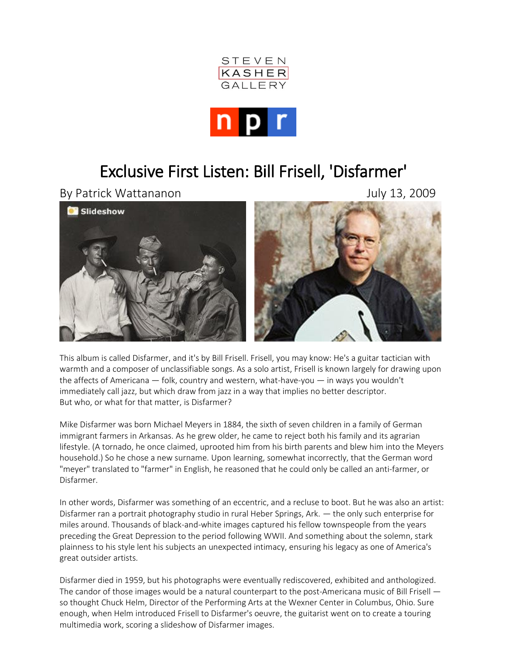



## Exclusive First Listen: Bill Frisell, 'Disfarmer'

By Patrick Wattananon **Bully 13, 2009** 



This album is called Disfarmer, and it's by [Bill Frisell.](http://www.npr.org/templates/story/story.php?storyId=14982703) Frisell, you may know: He's a guitar tactician with warmth and a composer of unclassifiable songs. As a solo artist, Frisell is known largely for drawing upon the affects of Americana — folk, country and western, what-have-you — in ways you wouldn't immediately call jazz, but which draw from jazz in a way that implies no better descriptor. But who, or what for that matter, is Disfarmer?

Mike Disfarmer was born Michael Meyers in 1884, the sixth of seven children in a family of German immigrant farmers in Arkansas. As he grew older, he came to reject both his family and its agrarian lifestyle. (A tornado, he once claimed, uprooted him from his birth parents and blew him into the Meyers household.) So he chose a new surname. Upon learning, somewhat incorrectly, that the German word "meyer" translated to "farmer" in English, he reasoned that he could only be called an anti-farmer, or Disfarmer.

In other words, Disfarmer was something of an eccentric, and a recluse to boot. But he was also an artist: Disfarmer ran a portrait photography studio in rural Heber Springs, Ark. — the only such enterprise for miles around. Thousands of black-and-white images captured his fellow townspeople from the years preceding the Great Depression to the period following WWII. And something about the solemn, stark plainness to his style lent his subjects an unexpected intimacy, ensuring his legacy as one of America's great outsider artists.

Disfarmer died in 1959, but his photographs were eventually rediscovered, exhibited and anthologized. The candor of those images would be a natural counterpart to the post-Americana music of Bill Frisell so thought Chuck Helm, Director of the Performing Arts at the Wexner Center in Columbus, Ohio. Sure enough, when Helm introduced Frisell to Disfarmer's oeuvre, the guitarist went on to create a touring multimedia work, scoring a slideshow of Disfarmer images.